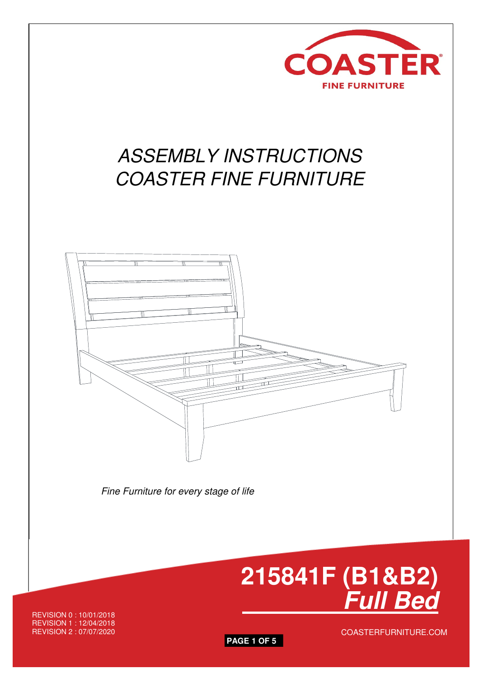

# ASSEMBLY INSTRUCTIONS COASTER FINE FURNITURE



Fine Furniture for every stage of life



REVISION 0 : 10/01/2018 REVISION 1 : 12/04/2018 REVISION 2 : 07/07/2020



COASTERFURNITURE.COM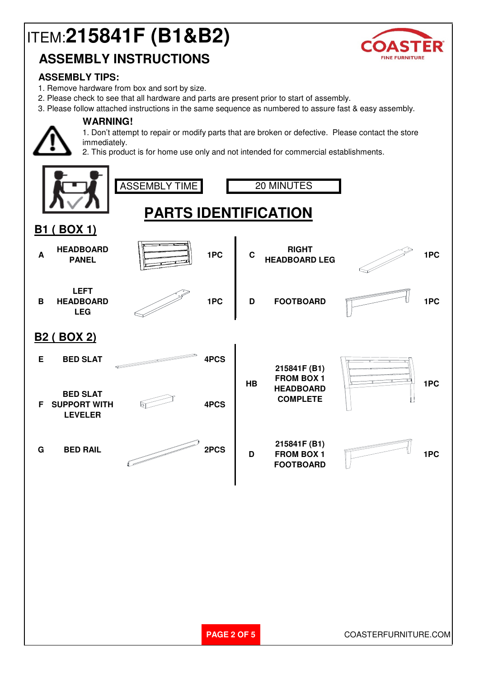# ITEM:**215841F (B1&B2)**



# **ASSEMBLY INSTRUCTIONS**

#### **ASSEMBLY TIPS:**

1. Remove hardware from box and sort by size.

**WARNING!**

- 2. Please check to see that all hardware and parts are present prior to start of assembly.
- 3. Please follow attached instructions in the same sequence as numbered to assure fast & easy assembly.

1. Don't attempt to repair or modify parts that are broken or defective. Please contact the store immediately.

2. This product is for home use only and not intended for commercial establishments.

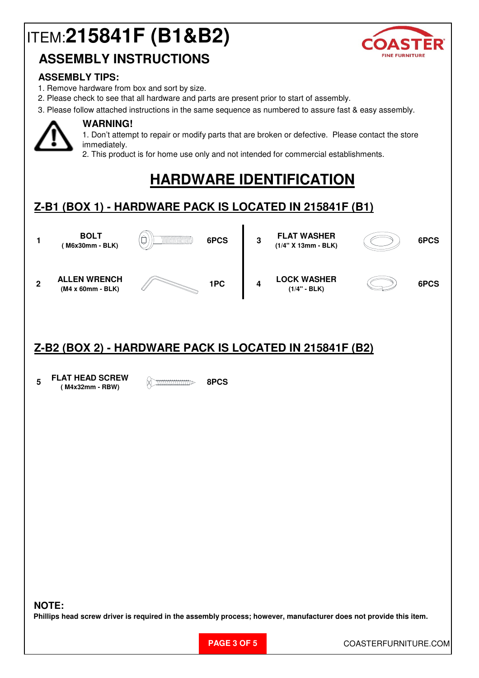# ITEM:**215841F (B1&B2)**



## **ASSEMBLY INSTRUCTIONS**

#### **ASSEMBLY TIPS:**

- 1. Remove hardware from box and sort by size.
- 2. Please check to see that all hardware and parts are present prior to start of assembly.
- 3. Please follow attached instructions in the same sequence as numbered to assure fast & easy assembly.



### **WARNING!**

1. Don't attempt to repair or modify parts that are broken or defective. Please contact the store immediately.

2. This product is for home use only and not intended for commercial establishments.

# **HARDWARE IDENTIFICATION**

### **Z-B1 (BOX 1) - HARDWARE PACK IS LOCATED IN 215841F (B1)**



### **Z-B2 (BOX 2) - HARDWARE PACK IS LOCATED IN 215841F (B2)**

**5 FLAT HEAD SCREW ( M4x32mm - RBW) 8PCS**

#### **NOTE:**

**Phillips head screw driver is required in the assembly process; however, manufacturer does not provide this item.**

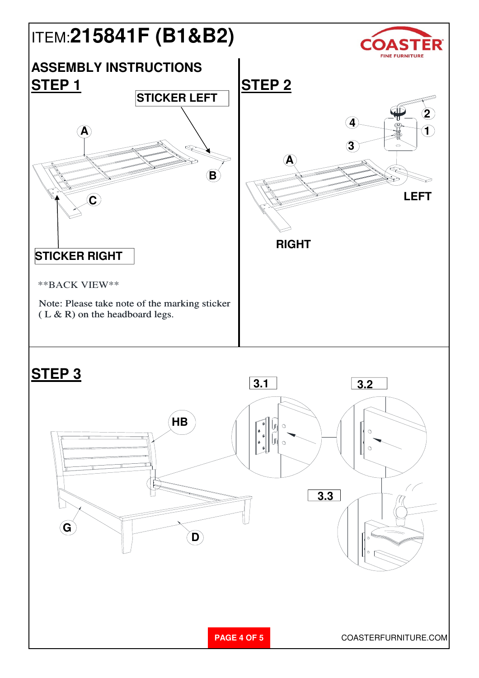

**PAGE 4 OF 5** COASTERFURNITURE.COM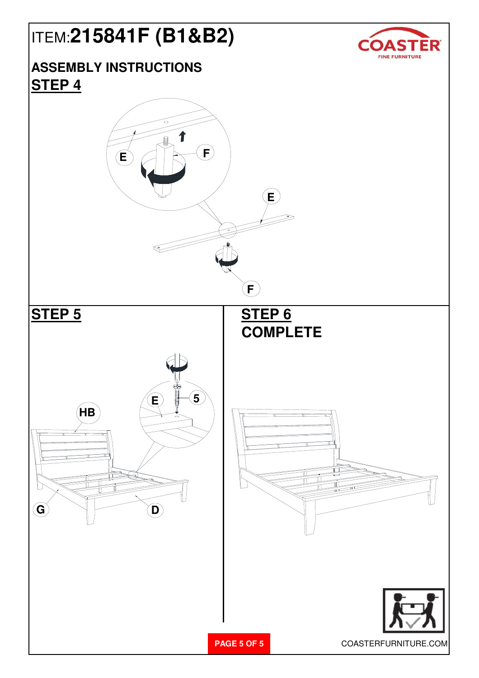